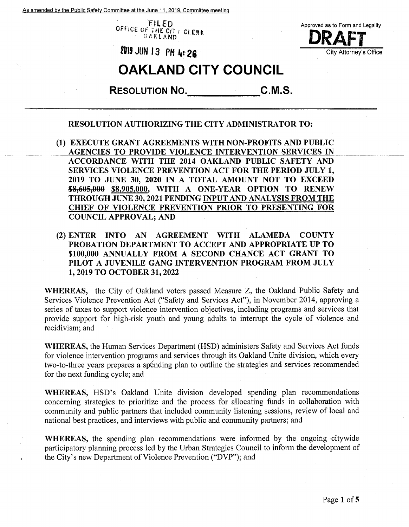As amended bv the Public Safety Committee at the June 11.2019. Committee meeting

FILED **OFriCE OF** THE **C/7 »** et **E^** OAKLAND



**DRAFT 9-IS JUN <sup>13</sup> PM <sup>M</sup> 2S**

## **OAKLAND CITY COUNCIL**

**C.M.S. Resolution No.**

## **RESOLUTION AUTHORIZING THE CITY ADMINISTRATOR TO:**

- **(1) EXECUTE GRANT AGREEMENTS WITH NON-PROFITS AND PUBLIC** \_\_\_**AGENCIES TO PROVIDE VIOLENCE INTERVENTION SERVICES IN ACCORDANCE WITH THE 2014 OAKLAND PUBLIC SAFETY AND SERVICES VIOLENCE PREVENTION ACT FOR THE PERIOD JULY 1, 2019 TO JUNE 30, 2020 IN A TOTAL AMOUNT NOT TO EXCEED \$8,-605,000 \$8,905,000, WITH A ONE-YEAR OPTION TO RENEW THROUGH JUNE 30,2021 PENDING INPUT AND ANALYSIS FROM THE CHIEF OF VIOLENCE PREVENTION PRIOR TO PRESENTING FOR COUNCIL APPROVAL; AND**
- **(2) ENTER INTO AN AGREEMENT WITH ALAMEDA COUNTY PROBATION DEPARTMENT TO ACCEPT AND APPROPRIATE UP TO \$100,000 ANNUALLY FROM A SECOND CHANCE ACT GRANT TO PILOT A JUVENILE GANG INTERVENTION PROGRAM FROM JULY 1,2019 TO OCTOBER 31,2022**

**WHEREAS,** the City of Oakland voters passed Measure Z, the Oakland Public Safety and Services Violence Prevention Act ("Safety and Services Act"), in November 2014, approving a series of taxes to support violence intervention objectives, including programs and services that provide support for high-risk youth and young adults to interrupt the cycle of violence and recidivism; and

**WHEREAS,** the Human Services Department (HSD) administers Safety and Services Act funds for violence intervention programs and services through its Oakland Unite division, which every two-to-three years prepares a spending plan to outline the strategies and services recommended for the next funding cycle; and

**WHEREAS,** HSD's Oakland Unite division developed spending plan recommendations concerning strategies to prioritize and the process for allocating funds in collaboration with community and public partners that included community listening sessions, review of local and national best practices, and interviews with public and community partners; and

**WHEREAS,** the spending plan recommendations were informed by the ongoing citywide participatory planning process led by the Urban Strategies Council to inform the development of the City's new Department of Violence Prevention ("DVP"); and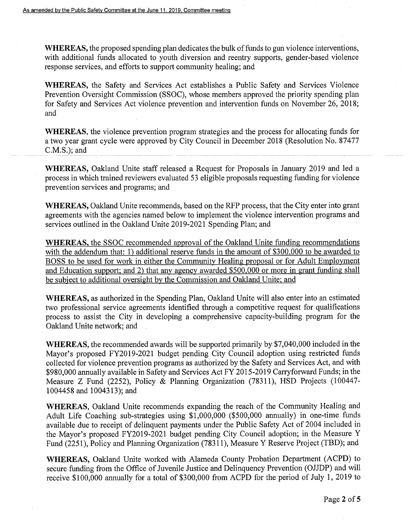WHEREAS, the proposed spending plan dedicates the bulk of funds to gun violence interventions, with additional funds allocated to youth diversion and reentry supports, gender-based violence response services, and efforts to support community healing; and

**WHEREAS,** the Safety and Services Act establishes a Public Safety and Services Violence Prevention Oversight Commission (SSOC), whose members approved the priority spending plan for Safety and Services Act violence prevention and intervention funds on November 26, 2018; and

**WHEREAS,** the violence prevention program strategies and the process for allocating funds for a two year grant cycle were approved by City Council in December 2018 (Resolution No. 87477 C.M.S.); and

**WHEREAS,** Oakland Unite staff released a Request for Proposals in January 2019 and led a process in which trained reviewers evaluated 53 eligible proposals requesting funding for violence prevention services and programs; and

**WHEREAS,** Oakland Unite recommends, based on the RFP process, that the City enter into grant agreements with the agencies named below to implement the violence intervention programs and services outlined in the Oakland Unite 2019-2021 Spending Plan; and

**WHEREAS, the SSOC recommended approval of the Oakland Unite funding recommendations** with the addendum that: 1) additional reserve funds in the amount of \$300,000 to be awarded to BOSS to be used for work in either the Community Healing proposal or for Adult Employment and Education support; and 2) that any agency awarded \$500,000 or more in grant funding shall be subject to additional oversight bv the Commission and Oakland Unite; and

**WHEREAS,** as authorized in the Spending Plan, Oakland Unite will also enter into an estimated two professional service agreements identified through a competitive request for qualifications process to assist the City in developing a comprehensive capacity-building program for the Oakland Unite network; and

**WHEREAS,** the recommended awards will be supported primarily by \$7,040,000 included in the Mayor's proposed FY2019-2021 budget pending City Council adoption using restricted funds collected for violence prevention programs as authorized by the Safety and Services Act, and with \$980,000 annually available in Safety and Services Act FY 2015-2019 Carryforward Funds; in the Measure Z Fund (2252), Policy & Planning Organization (78311), HSD Projects (100447- 1004458 and 1004313); and

**WHEREAS,** Oakland Unite recommends expanding the reach of the Community Healing and Adult Life Coaching sub-strategies using \$1,000,000 (\$500,000 annually) in one-time funds available due to receipt of delinquent payments under the Public Safety Act of 2004 included in the Mayor's proposed FY2019-2021 budget pending City Council adoption; in the Measure Y Fund (2251), Policy and Planning Organization (78311), Measure Y Reserve Project (TBD); and

**WHEREAS,** Oakland Unite worked with Alameda County Probation Department (ACPD) to secure funding from the Office of Juvenile Justice and Delinquency Prevention (OJJDP) and will receive \$100,000 annually for a total of \$300,000 from ACPD for the period of July 1, 2019 to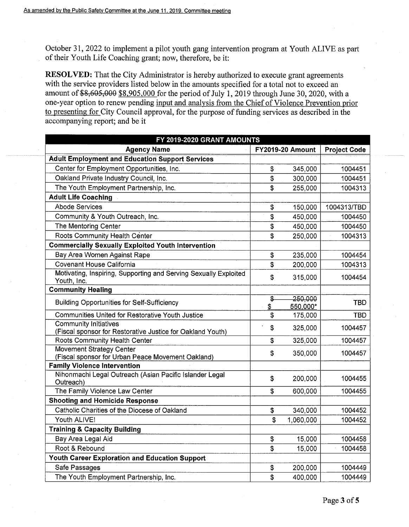October 31, 2022 to implement a pilot youth gang intervention program at Youth ALIVE as part of their Youth Life Coaching grant; now, therefore, be it:

**RESOLVED:** That the City Administrator is hereby authorized to execute grant agreements with the service providers listed below in the amounts specified for a total not to exceed an amount of  $$8,605,000$  \$8,905,000 for the period of July 1, 2019 through June 30, 2020, with a one-year option to renew pending input and analysis from the Chief of Violence Prevention prior to presenting for City Council approval, for the purpose of funding services as described in the accompanying report; and be it

| FY 2019-2020 GRANT AMOUNTS                                                           |                         |                     |                     |  |  |  |
|--------------------------------------------------------------------------------------|-------------------------|---------------------|---------------------|--|--|--|
| <b>Agency Name</b>                                                                   | <b>FY2019-20 Amount</b> |                     | <b>Project Code</b> |  |  |  |
| <b>Adult Employment and Education Support Services</b>                               |                         |                     |                     |  |  |  |
| Center for Employment Opportunities, Inc.                                            | \$                      | 345,000             | 1004451             |  |  |  |
| Oakland Private Industry Council, Inc.                                               | \$                      | 300,000             | 1004451             |  |  |  |
| The Youth Employment Partnership, Inc.                                               | \$                      | 255,000             | 1004313             |  |  |  |
| <b>Adult Life Coaching</b>                                                           |                         |                     |                     |  |  |  |
| <b>Abode Services</b>                                                                | \$                      | 150,000             | 1004313/TBD         |  |  |  |
| Community & Youth Outreach, Inc.                                                     | \$                      | 450,000             | 1004450             |  |  |  |
| The Mentoring Center                                                                 | \$                      | 450,000             | 1004450             |  |  |  |
| Roots Community Health Center                                                        | \$                      | 250,000             | 1004313             |  |  |  |
| <b>Commercially Sexually Exploited Youth Intervention</b>                            |                         |                     |                     |  |  |  |
| Bay Area Women Against Rape                                                          | \$                      | 235,000             | 1004454             |  |  |  |
| <b>Covenant House California</b>                                                     | \$                      | 200,000             | 1004313             |  |  |  |
| Motivating, Inspiring, Supporting and Serving Sexually Exploited<br>Youth, Inc.      | \$                      | 315,000             | 1004454             |  |  |  |
| <b>Community Healing</b>                                                             |                         |                     |                     |  |  |  |
| <b>Building Opportunities for Self-Sufficiency</b>                                   | \$<br>\$                | 250,000<br>550,000* | <b>TBD</b>          |  |  |  |
| Communities United for Restorative Youth Justice                                     | \$                      | 175,000             | <b>TBD</b>          |  |  |  |
| <b>Community Initiatives</b>                                                         | \$                      | 325,000             | 1004457             |  |  |  |
| (Fiscal sponsor for Restorative Justice for Oakland Youth)                           |                         |                     |                     |  |  |  |
| Roots Community Health Center                                                        | \$                      | 325,000             | 1004457             |  |  |  |
| <b>Movement Strategy Center</b><br>(Fiscal sponsor for Urban Peace Movement Oakland) | \$                      | 350,000             | 1004457             |  |  |  |
| <b>Family Violence Intervention</b>                                                  |                         |                     |                     |  |  |  |
| Nihonmachi Legal Outreach (Asian Pacific Islander Legal<br>Outreach)                 | \$                      | 200,000             | 1004455             |  |  |  |
| The Family Violence Law Center                                                       | \$                      | 600,000             | 1004455             |  |  |  |
| <b>Shooting and Homicide Response</b>                                                |                         |                     |                     |  |  |  |
| Catholic Charities of the Diocese of Oakland                                         | \$                      | 340,000             | 1004452             |  |  |  |
| Youth ALIVE!                                                                         | $\mathfrak{s}$          | 1,060,000           | 1004452             |  |  |  |
| <b>Training &amp; Capacity Building</b>                                              |                         |                     |                     |  |  |  |
| Bay Area Legal Aid                                                                   | \$                      | 15,000              | 1004458             |  |  |  |
| Root & Rebound                                                                       | \$                      | 15,000              | 1004458             |  |  |  |
| Youth Career Exploration and Education Support                                       |                         |                     |                     |  |  |  |
| Safe Passages                                                                        | \$                      | 200,000             | 1004449             |  |  |  |
| The Youth Employment Partnership, Inc.                                               | \$                      | 400,000             | 1004449             |  |  |  |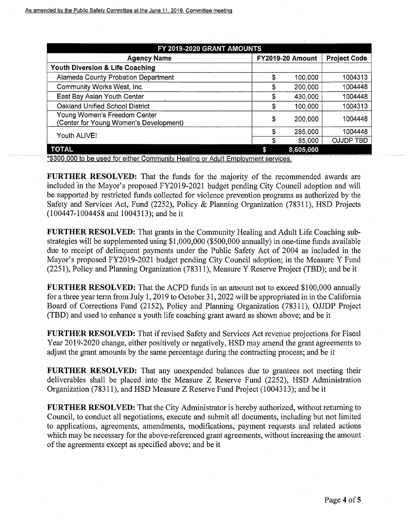| FY 2019-2020 GRANT AMOUNTS                                             |    |                         |                     |  |  |  |
|------------------------------------------------------------------------|----|-------------------------|---------------------|--|--|--|
| <b>Agency Name</b>                                                     |    | <b>FY2019-20 Amount</b> | <b>Project Code</b> |  |  |  |
| Youth Diversion & Life Coaching                                        |    |                         |                     |  |  |  |
| Alameda County Probation Department                                    | \$ | 100,000                 | 1004313             |  |  |  |
| Community Works West, Inc.                                             | \$ | 200,000                 | 1004448             |  |  |  |
| East Bay Asian Youth Center                                            | \$ | 430,000                 | 1004448             |  |  |  |
| Oakland Unified School District                                        | \$ | 100,000                 | 1004313             |  |  |  |
| Young Women's Freedom Center<br>(Center for Young Women's Development) | \$ | 200,000                 | 1004448             |  |  |  |
| Youth ALIVE!                                                           | \$ | 285,000                 | 1004448             |  |  |  |
|                                                                        | \$ | 85,000                  | <b>OJJDP TBD</b>    |  |  |  |
| <b>TOTAL</b>                                                           |    | 8,605,000               |                     |  |  |  |

\*3300.000 to be used for either Community Healing or Adult Employment services.

**FURTHER RESOLVED:** That the funds for the majority of the recommended awards are included in the Mayor's proposed FY2019-2021 budget pending City Council adoption and will be supported by restricted funds collected for violence prevention programs as authorized by the Safety and Services Act, Fund (2252), Policy & Planning Organization (78311), HSD Projects (100447-1004458 and 1004313); and be it

**FURTHER RESOLVED:** That grants in the Community Healing and Adult Life Coaching substrategies will be supplemented using \$1,000,000 (\$500,000 annually) in one-time funds available due to receipt of delinquent payments under the Public Safety Act of 2004 as included in the Mayor's proposed FY2019-2021 budget pending City Council adoption; in the Measure Y Fund (2251), Policy and Planning Organization (78311), Measure Y Reserve Project (TBD); and be it

**FURTHER RESOLVED:** That the ACPD funds in an amount not to exceed \$100,000 annually for a three year term from July 1,2019 to October 31,2022 will be appropriated in in the California Board of Corrections Fund (2152), Policy and Planning Organization (78311), OJJDP Project (TBD) and used to enhance a youth life coaching grant award as shown above; and be it

**FURTHER RESOLVED:** That if revised Safety and Services Act revenue projections for Fiscal Year 2019-2020 change, either positively or negatively, HSD may amend the grant agreements to adjust the grant amounts by the same percentage during the contracting process; and be it

**FURTHER RESOLVED:** That any unexpended balances due to grantees not meeting their deliverables shall be placed into the Measure Z Reserve Fund (2252), HSD Administration Organization (78311), and HSD Measure Z Reserve Fund Project (1004313); and be it

**FURTHER RESOLVED:** That the City Administrator is hereby authorized, without returning to Council, to conduct all negotiations, execute and submit all documents, including but not limited to applications, agreements, amendments, modifications, payment requests and related actions which may be necessary for the above-referenced grant agreements, without increasing the amount of the agreements except as specified above; and be it